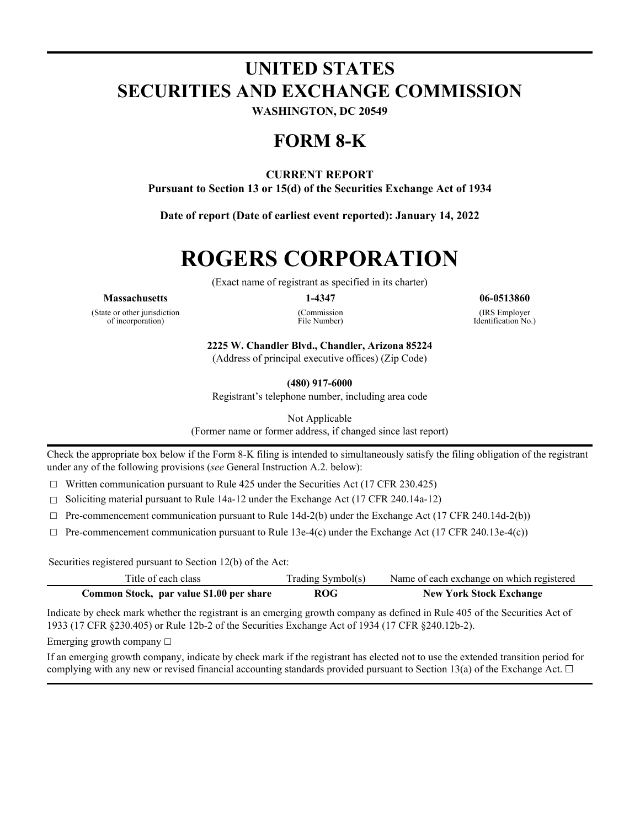## **UNITED STATES SECURITIES AND EXCHANGE COMMISSION**

**WASHINGTON, DC 20549**

## **FORM 8-K**

#### **CURRENT REPORT**

**Pursuant to Section 13 or 15(d) of the Securities Exchange Act of 1934**

**Date of report (Date of earliest event reported): January 14, 2022**

# **ROGERS CORPORATION**

(Exact name of registrant as specified in its charter)

#### **Massachusetts 1-4347 06-0513860**

(State or other jurisdiction of incorporation)

(Commission

File Number)

(IRS Employer Identification No.)

**2225 W. Chandler Blvd., Chandler, Arizona 85224**

(Address of principal executive offices) (Zip Code)

**(480) 917-6000**

Registrant's telephone number, including area code

Not Applicable

(Former name or former address, if changed since last report)

Check the appropriate box below if the Form 8-K filing is intended to simultaneously satisfy the filing obligation of the registrant under any of the following provisions (*see* General Instruction A.2. below):

 $\Box$  Written communication pursuant to Rule 425 under the Securities Act (17 CFR 230.425)

 $\Box$  Soliciting material pursuant to Rule 14a-12 under the Exchange Act (17 CFR 240.14a-12)

 $\Box$  Pre-commencement communication pursuant to Rule 14d-2(b) under the Exchange Act (17 CFR 240.14d-2(b))

 $\Box$  Pre-commencement communication pursuant to Rule 13e-4(c) under the Exchange Act (17 CFR 240.13e-4(c))

Securities registered pursuant to Section 12(b) of the Act:

| Title of each class                      | Trading Symbol(s) | Name of each exchange on which registered |
|------------------------------------------|-------------------|-------------------------------------------|
| Common Stock, par value \$1.00 per share | <b>ROG</b>        | <b>New York Stock Exchange</b>            |

Indicate by check mark whether the registrant is an emerging growth company as defined in Rule 405 of the Securities Act of 1933 (17 CFR §230.405) or Rule 12b-2 of the Securities Exchange Act of 1934 (17 CFR §240.12b-2).

Emerging growth company  $\Box$ 

If an emerging growth company, indicate by check mark if the registrant has elected not to use the extended transition period for complying with any new or revised financial accounting standards provided pursuant to Section 13(a) of the Exchange Act.  $\Box$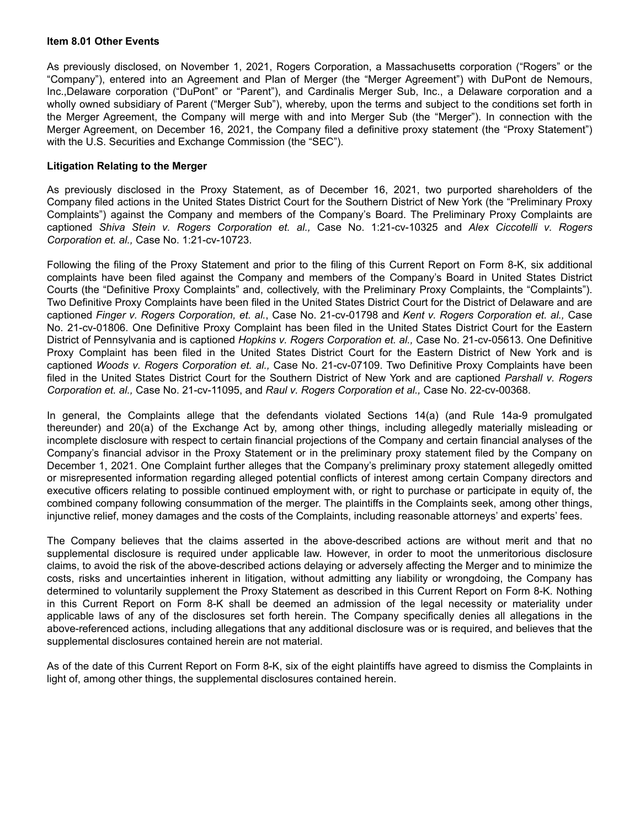#### **Item 8.01 Other Events**

As previously disclosed, on November 1, 2021, Rogers Corporation, a Massachusetts corporation ("Rogers" or the "Company"), entered into an Agreement and Plan of Merger (the "Merger Agreement") with DuPont de Nemours, Inc.,Delaware corporation ("DuPont" or "Parent"), and Cardinalis Merger Sub, Inc., a Delaware corporation and a wholly owned subsidiary of Parent ("Merger Sub"), whereby, upon the terms and subject to the conditions set forth in the Merger Agreement, the Company will merge with and into Merger Sub (the "Merger"). In connection with the Merger Agreement, on December 16, 2021, the Company filed a definitive proxy statement (the "Proxy Statement") with the U.S. Securities and Exchange Commission (the "SEC").

#### **Litigation Relating to the Merger**

As previously disclosed in the Proxy Statement, as of December 16, 2021, two purported shareholders of the Company filed actions in the United States District Court for the Southern District of New York (the "Preliminary Proxy Complaints") against the Company and members of the Company's Board. The Preliminary Proxy Complaints are captioned *Shiva Stein v. Rogers Corporation et. al.,* Case No. 1:21-cv-10325 and *Alex Ciccotelli v. Rogers Corporation et. al.,* Case No. 1:21-cv-10723.

Following the filing of the Proxy Statement and prior to the filing of this Current Report on Form 8-K, six additional complaints have been filed against the Company and members of the Company's Board in United States District Courts (the "Definitive Proxy Complaints" and, collectively, with the Preliminary Proxy Complaints, the "Complaints"). Two Definitive Proxy Complaints have been filed in the United States District Court for the District of Delaware and are captioned *Finger v. Rogers Corporation, et. al.*, Case No. 21-cv-01798 and *Kent v. Rogers Corporation et. al.,* Case No. 21-cv-01806. One Definitive Proxy Complaint has been filed in the United States District Court for the Eastern District of Pennsylvania and is captioned *Hopkins v. Rogers Corporation et. al.,* Case No. 21-cv-05613. One Definitive Proxy Complaint has been filed in the United States District Court for the Eastern District of New York and is captioned *Woods v. Rogers Corporation et. al.,* Case No. 21-cv-07109. Two Definitive Proxy Complaints have been filed in the United States District Court for the Southern District of New York and are captioned *Parshall v. Rogers Corporation et. al.,* Case No. 21-cv-11095, and *Raul v. Rogers Corporation et al.,* Case No. 22-cv-00368.

In general, the Complaints allege that the defendants violated Sections 14(a) (and Rule 14a-9 promulgated thereunder) and 20(a) of the Exchange Act by, among other things, including allegedly materially misleading or incomplete disclosure with respect to certain financial projections of the Company and certain financial analyses of the Company's financial advisor in the Proxy Statement or in the preliminary proxy statement filed by the Company on December 1, 2021. One Complaint further alleges that the Company's preliminary proxy statement allegedly omitted or misrepresented information regarding alleged potential conflicts of interest among certain Company directors and executive officers relating to possible continued employment with, or right to purchase or participate in equity of, the combined company following consummation of the merger. The plaintiffs in the Complaints seek, among other things, injunctive relief, money damages and the costs of the Complaints, including reasonable attorneys' and experts' fees.

The Company believes that the claims asserted in the above-described actions are without merit and that no supplemental disclosure is required under applicable law. However, in order to moot the unmeritorious disclosure claims, to avoid the risk of the above-described actions delaying or adversely affecting the Merger and to minimize the costs, risks and uncertainties inherent in litigation, without admitting any liability or wrongdoing, the Company has determined to voluntarily supplement the Proxy Statement as described in this Current Report on Form 8-K. Nothing in this Current Report on Form 8-K shall be deemed an admission of the legal necessity or materiality under applicable laws of any of the disclosures set forth herein. The Company specifically denies all allegations in the above-referenced actions, including allegations that any additional disclosure was or is required, and believes that the supplemental disclosures contained herein are not material.

As of the date of this Current Report on Form 8-K, six of the eight plaintiffs have agreed to dismiss the Complaints in light of, among other things, the supplemental disclosures contained herein.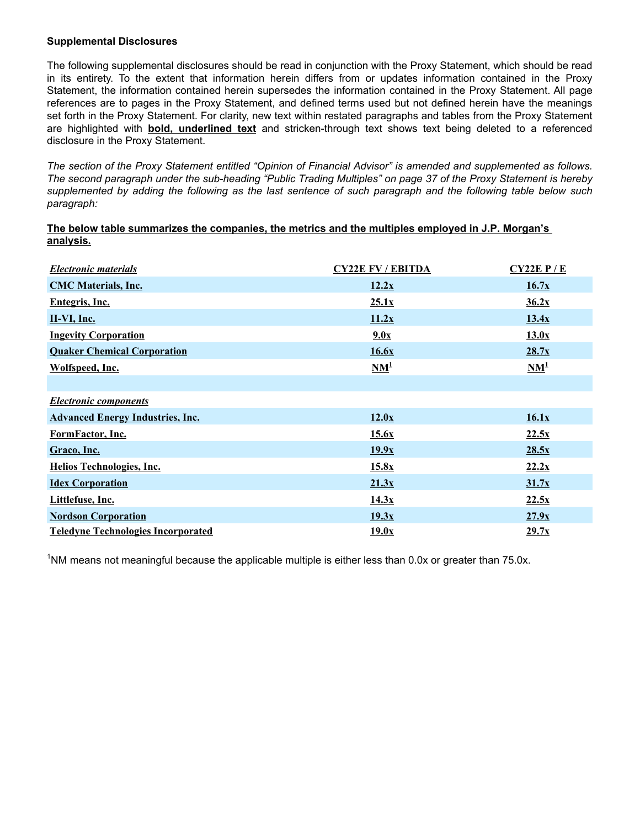#### **Supplemental Disclosures**

The following supplemental disclosures should be read in conjunction with the Proxy Statement, which should be read in its entirety. To the extent that information herein differs from or updates information contained in the Proxy Statement, the information contained herein supersedes the information contained in the Proxy Statement. All page references are to pages in the Proxy Statement, and defined terms used but not defined herein have the meanings set forth in the Proxy Statement. For clarity, new text within restated paragraphs and tables from the Proxy Statement are highlighted with **bold, underlined text** and stricken-through text shows text being deleted to a referenced disclosure in the Proxy Statement.

*The section of the Proxy Statement entitled "Opinion of Financial Advisor" is amended and supplemented as follows. The second paragraph under the sub-heading "Public Trading Multiples" on page 37 of the Proxy Statement is hereby supplemented by adding the following as the last sentence of such paragraph and the following table below such paragraph:*

#### **The below table summarizes the companies, the metrics and the multiples employed in J.P. Morgan's analysis.**

| <b>Electronic materials</b>               | <b>CY22E FV / EBITDA</b>            | $CY22E$ $P/E$        |
|-------------------------------------------|-------------------------------------|----------------------|
| <b>CMC Materials, Inc.</b>                | 12.2x                               | 16.7x                |
| Entegris, Inc.                            | 25.1x                               | 36.2x                |
| II-VI, Inc.                               | 11.2x                               | 13.4x                |
| <b>Ingevity Corporation</b>               | 9.0x                                | 13.0x                |
| <b>Quaker Chemical Corporation</b>        | 16.6x                               | 28.7x                |
| Wolfspeed, Inc.                           | $\mathbf{N}\mathbf{M}^{\mathbf{1}}$ | $NM^{\underline{1}}$ |
|                                           |                                     |                      |
| <b>Electronic components</b>              |                                     |                      |
| <b>Advanced Energy Industries, Inc.</b>   | 12.0x                               | 16.1x                |
| FormFactor, Inc.                          | 15.6x                               | 22.5x                |
| Graco, Inc.                               | 19.9x                               | 28.5x                |
| <b>Helios Technologies, Inc.</b>          | 15.8x                               | 22.2x                |
| <b>Idex Corporation</b>                   | 21.3x                               | 31.7x                |
| Littlefuse, Inc.                          | 14.3x                               | 22.5x                |
| <b>Nordson Corporation</b>                | 19.3x                               | 27.9x                |
| <b>Teledyne Technologies Incorporated</b> | 19.0x                               | 29.7x                |

<sup>1</sup>NM means not meaningful because the applicable multiple is either less than 0.0x or greater than 75.0x.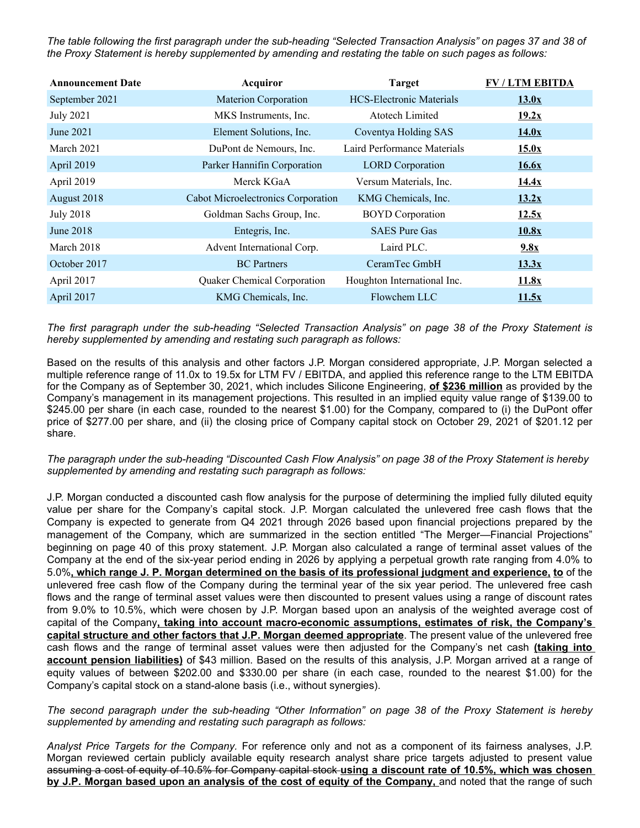*The table following the first paragraph under the sub-heading "Selected Transaction Analysis" on pages 37 and 38 of the Proxy Statement is hereby supplemented by amending and restating the table on such pages as follows:* 

| <b>Announcement Date</b> | Acquiror                           | <b>Target</b>                   | <b>FV / LTM EBITDA</b> |
|--------------------------|------------------------------------|---------------------------------|------------------------|
| September 2021           | <b>Materion Corporation</b>        | <b>HCS-Electronic Materials</b> | 13.0x                  |
| <b>July 2021</b>         | MKS Instruments, Inc.              | <b>Atotech Limited</b>          | 19.2x                  |
| June 2021                | Element Solutions, Inc.            | Coventya Holding SAS            | 14.0x                  |
| March 2021               | DuPont de Nemours, Inc.            | Laird Performance Materials     | 15.0x                  |
| April 2019               | Parker Hannifin Corporation        | <b>LORD</b> Corporation         | 16.6x                  |
| April 2019               | Merck KGaA                         | Versum Materials, Inc.          | 14.4x                  |
| August 2018              | Cabot Microelectronics Corporation | KMG Chemicals, Inc.             | 13.2x                  |
| <b>July 2018</b>         | Goldman Sachs Group, Inc.          | <b>BOYD</b> Corporation         | 12.5x                  |
| June 2018                | Entegris, Inc.                     | <b>SAES</b> Pure Gas            | 10.8x                  |
| March 2018               | Advent International Corp.         | Laird PLC.                      | 9.8x                   |
| October 2017             | <b>BC</b> Partners                 | CeramTec GmbH                   | 13.3x                  |
| April 2017               | <b>Quaker Chemical Corporation</b> | Houghton International Inc.     | 11.8x                  |
| April 2017               | KMG Chemicals, Inc.                | Flowchem LLC                    | 11.5x                  |

*The first paragraph under the sub-heading "Selected Transaction Analysis" on page 38 of the Proxy Statement is hereby supplemented by amending and restating such paragraph as follows:*

Based on the results of this analysis and other factors J.P. Morgan considered appropriate, J.P. Morgan selected a multiple reference range of 11.0x to 19.5x for LTM FV / EBITDA, and applied this reference range to the LTM EBITDA for the Company as of September 30, 2021, which includes Silicone Engineering, **of \$236 million** as provided by the Company's management in its management projections. This resulted in an implied equity value range of \$139.00 to \$245.00 per share (in each case, rounded to the nearest \$1.00) for the Company, compared to (i) the DuPont offer price of \$277.00 per share, and (ii) the closing price of Company capital stock on October 29, 2021 of \$201.12 per share.

*The paragraph under the sub-heading "Discounted Cash Flow Analysis" on page 38 of the Proxy Statement is hereby supplemented by amending and restating such paragraph as follows:* 

J.P. Morgan conducted a discounted cash flow analysis for the purpose of determining the implied fully diluted equity value per share for the Company's capital stock. J.P. Morgan calculated the unlevered free cash flows that the Company is expected to generate from Q4 2021 through 2026 based upon financial projections prepared by the management of the Company, which are summarized in the section entitled "The Merger—Financial Projections" beginning on page 40 of this proxy statement. J.P. Morgan also calculated a range of terminal asset values of the Company at the end of the six-year period ending in 2026 by applying a perpetual growth rate ranging from 4.0% to 5.0%**, which range J. P. Morgan determined on the basis of its professional judgment and experience, to** of the unlevered free cash flow of the Company during the terminal year of the six year period. The unlevered free cash flows and the range of terminal asset values were then discounted to present values using a range of discount rates from 9.0% to 10.5%, which were chosen by J.P. Morgan based upon an analysis of the weighted average cost of capital of the Company**, taking into account macro-economic assumptions, estimates of risk, the Company's capital structure and other factors that J.P. Morgan deemed appropriate**. The present value of the unlevered free cash flows and the range of terminal asset values were then adjusted for the Company's net cash **(taking into account pension liabilities)** of \$43 million. Based on the results of this analysis, J.P. Morgan arrived at a range of equity values of between \$202.00 and \$330.00 per share (in each case, rounded to the nearest \$1.00) for the Company's capital stock on a stand-alone basis (i.e., without synergies).

*The second paragraph under the sub-heading "Other Information" on page 38 of the Proxy Statement is hereby supplemented by amending and restating such paragraph as follows:* 

*Analyst Price Targets for the Company.* For reference only and not as a component of its fairness analyses, J.P. Morgan reviewed certain publicly available equity research analyst share price targets adjusted to present value assuming a cost of equity of 10.5% for Company capital stock **using a discount rate of 10.5%, which was chosen by J.P. Morgan based upon an analysis of the cost of equity of the Company,** and noted that the range of such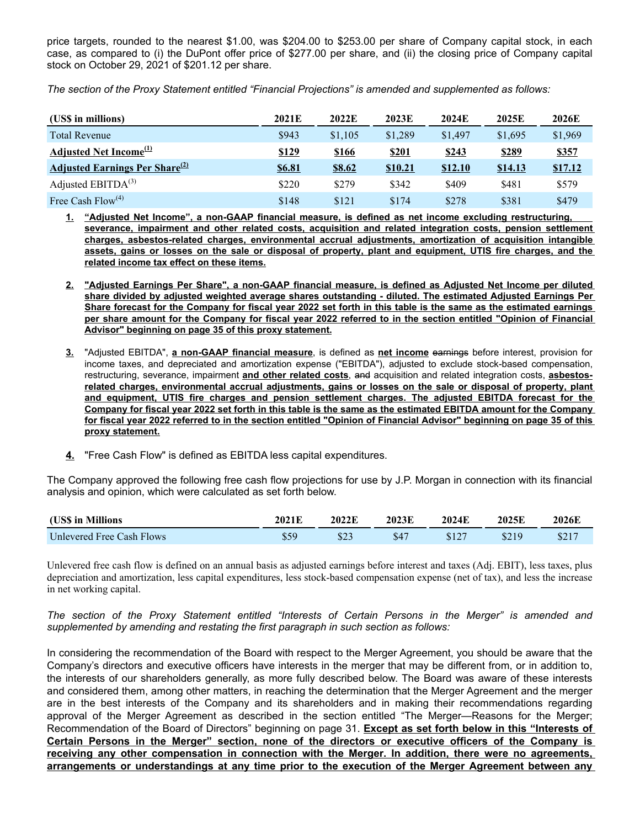price targets, rounded to the nearest \$1.00, was \$204.00 to \$253.00 per share of Company capital stock, in each case, as compared to (i) the DuPont offer price of \$277.00 per share, and (ii) the closing price of Company capital stock on October 29, 2021 of \$201.12 per share.

*The section of the Proxy Statement entitled "Financial Projections" is amended and supplemented as follows:*

| (US\$ in millions)                                | 2021E         | 2022E         | 2023E          | 2024E          | 2025E          | 2026E          |
|---------------------------------------------------|---------------|---------------|----------------|----------------|----------------|----------------|
| <b>Total Revenue</b>                              | \$943         | \$1,105       | \$1,289        | \$1,497        | \$1,695        | \$1,969        |
| Adjusted Net Income <sup>(1)</sup>                | \$129         | <u>\$166</u>  | \$201          | <u>\$243</u>   | \$289          | \$357          |
| <b>Adjusted Earnings Per Share</b> <sup>(2)</sup> | <b>\$6.81</b> | <u>\$8.62</u> | <b>\$10.21</b> | <b>\$12.10</b> | <u>\$14.13</u> | <u>\$17.12</u> |
| Adjusted $EBITDA(3)$                              | \$220         | \$279         | \$342          | \$409          | \$481          | \$579          |
| Free Cash $Flow^{(4)}$                            | \$148         | \$121         | \$174          | \$278          | \$381          | \$479          |

**1. "Adjusted Net Income", a non-GAAP financial measure, is defined as net income excluding restructuring, severance, impairment and other related costs, acquisition and related integration costs, pension settlement charges, asbestos-related charges, environmental accrual adjustments, amortization of acquisition intangible assets, gains or losses on the sale or disposal of property, plant and equipment, UTIS fire charges, and the related income tax effect on these items.**

- **2. "Adjusted Earnings Per Share", a non-GAAP financial measure, is defined as Adjusted Net Income per diluted share divided by adjusted weighted average shares outstanding - diluted. The estimated Adjusted Earnings Per Share forecast for the Company for fiscal year 2022 set forth in this table is the same as the estimated earnings per share amount for the Company for fiscal year 2022 referred to in the section entitled "Opinion of Financial Advisor" beginning on page 35 of this proxy statement.**
- **3.** "Adjusted EBITDA", **a non-GAAP financial measure**, is defined as **net income** earnings before interest, provision for income taxes, and depreciated and amortization expense ("EBITDA"), adjusted to exclude stock-based compensation, restructuring, severance, impairment **and other related costs**, and acquisition and related integration costs, **asbestosrelated charges, environmental accrual adjustments, gains or losses on the sale or disposal of property, plant and equipment, UTIS fire charges and pension settlement charges. The adjusted EBITDA forecast for the Company for fiscal year 2022 set forth in this table is the same as the estimated EBITDA amount for the Company for fiscal year 2022 referred to in the section entitled "Opinion of Financial Advisor" beginning on page 35 of this proxy statement.**
- **4.** "Free Cash Flow" is defined as EBITDA less capital expenditures.

The Company approved the following free cash flow projections for use by J.P. Morgan in connection with its financial analysis and opinion, which were calculated as set forth below.

| (US\$ in Millions         | 2021E | 2022E   | 2023E | 2024E | 2025E | 2026E |
|---------------------------|-------|---------|-------|-------|-------|-------|
| Unlevered Free Cash Flows |       | ت کا 10 | S4′   | \$127 | \$210 |       |

Unlevered free cash flow is defined on an annual basis as adjusted earnings before interest and taxes (Adj. EBIT), less taxes, plus depreciation and amortization, less capital expenditures, less stock-based compensation expense (net of tax), and less the increase in net working capital.

*The section of the Proxy Statement entitled "Interests of Certain Persons in the Merger" is amended and supplemented by amending and restating the first paragraph in such section as follows:*

In considering the recommendation of the Board with respect to the Merger Agreement, you should be aware that the Company's directors and executive officers have interests in the merger that may be different from, or in addition to, the interests of our shareholders generally, as more fully described below. The Board was aware of these interests and considered them, among other matters, in reaching the determination that the Merger Agreement and the merger are in the best interests of the Company and its shareholders and in making their recommendations regarding approval of the Merger Agreement as described in the section entitled "The Merger—Reasons for the Merger; Recommendation of the Board of Directors" beginning on page 31. **Except as set forth below in this "Interests of Certain Persons in the Merger" section, none of the directors or executive officers of the Company is receiving any other compensation in connection with the Merger. In addition, there were no agreements, arrangements or understandings at any time prior to the execution of the Merger Agreement between any**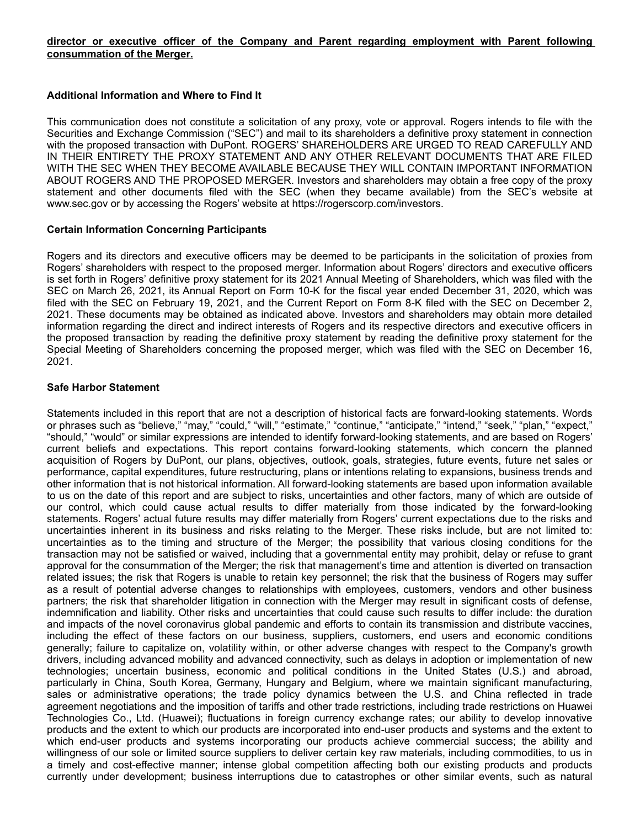#### **director or executive officer of the Company and Parent regarding employment with Parent following consummation of the Merger.**

#### **Additional Information and Where to Find It**

This communication does not constitute a solicitation of any proxy, vote or approval. Rogers intends to file with the Securities and Exchange Commission ("SEC") and mail to its shareholders a definitive proxy statement in connection with the proposed transaction with DuPont. ROGERS' SHAREHOLDERS ARE URGED TO READ CAREFULLY AND IN THEIR ENTIRETY THE PROXY STATEMENT AND ANY OTHER RELEVANT DOCUMENTS THAT ARE FILED WITH THE SEC WHEN THEY BECOME AVAILABLE BECAUSE THEY WILL CONTAIN IMPORTANT INFORMATION ABOUT ROGERS AND THE PROPOSED MERGER. Investors and shareholders may obtain a free copy of the proxy statement and other documents filed with the SEC (when they became available) from the SEC's website at www.sec.gov or by accessing the Rogers' website at https://rogerscorp.com/investors.

#### **Certain Information Concerning Participants**

Rogers and its directors and executive officers may be deemed to be participants in the solicitation of proxies from Rogers' shareholders with respect to the proposed merger. Information about Rogers' directors and executive officers is set forth in Rogers' definitive proxy statement for its 2021 Annual Meeting of Shareholders, which was filed with the SEC on March 26, 2021, its Annual Report on Form 10-K for the fiscal year ended December 31, 2020, which was filed with the SEC on February 19, 2021, and the Current Report on Form 8-K filed with the SEC on December 2, 2021. These documents may be obtained as indicated above. Investors and shareholders may obtain more detailed information regarding the direct and indirect interests of Rogers and its respective directors and executive officers in the proposed transaction by reading the definitive proxy statement by reading the definitive proxy statement for the Special Meeting of Shareholders concerning the proposed merger, which was filed with the SEC on December 16, 2021.

#### **Safe Harbor Statement**

Statements included in this report that are not a description of historical facts are forward-looking statements. Words or phrases such as "believe," "may," "could," "will," "estimate," "continue," "anticipate," "intend," "seek," "plan," "expect," "should," "would" or similar expressions are intended to identify forward-looking statements, and are based on Rogers' current beliefs and expectations. This report contains forward-looking statements, which concern the planned acquisition of Rogers by DuPont, our plans, objectives, outlook, goals, strategies, future events, future net sales or performance, capital expenditures, future restructuring, plans or intentions relating to expansions, business trends and other information that is not historical information. All forward-looking statements are based upon information available to us on the date of this report and are subject to risks, uncertainties and other factors, many of which are outside of our control, which could cause actual results to differ materially from those indicated by the forward-looking statements. Rogers' actual future results may differ materially from Rogers' current expectations due to the risks and uncertainties inherent in its business and risks relating to the Merger. These risks include, but are not limited to: uncertainties as to the timing and structure of the Merger; the possibility that various closing conditions for the transaction may not be satisfied or waived, including that a governmental entity may prohibit, delay or refuse to grant approval for the consummation of the Merger; the risk that management's time and attention is diverted on transaction related issues; the risk that Rogers is unable to retain key personnel; the risk that the business of Rogers may suffer as a result of potential adverse changes to relationships with employees, customers, vendors and other business partners; the risk that shareholder litigation in connection with the Merger may result in significant costs of defense, indemnification and liability. Other risks and uncertainties that could cause such results to differ include: the duration and impacts of the novel coronavirus global pandemic and efforts to contain its transmission and distribute vaccines, including the effect of these factors on our business, suppliers, customers, end users and economic conditions generally; failure to capitalize on, volatility within, or other adverse changes with respect to the Company's growth drivers, including advanced mobility and advanced connectivity, such as delays in adoption or implementation of new technologies; uncertain business, economic and political conditions in the United States (U.S.) and abroad, particularly in China, South Korea, Germany, Hungary and Belgium, where we maintain significant manufacturing, sales or administrative operations; the trade policy dynamics between the U.S. and China reflected in trade agreement negotiations and the imposition of tariffs and other trade restrictions, including trade restrictions on Huawei Technologies Co., Ltd. (Huawei); fluctuations in foreign currency exchange rates; our ability to develop innovative products and the extent to which our products are incorporated into end-user products and systems and the extent to which end-user products and systems incorporating our products achieve commercial success; the ability and willingness of our sole or limited source suppliers to deliver certain key raw materials, including commodities, to us in a timely and cost-effective manner; intense global competition affecting both our existing products and products currently under development; business interruptions due to catastrophes or other similar events, such as natural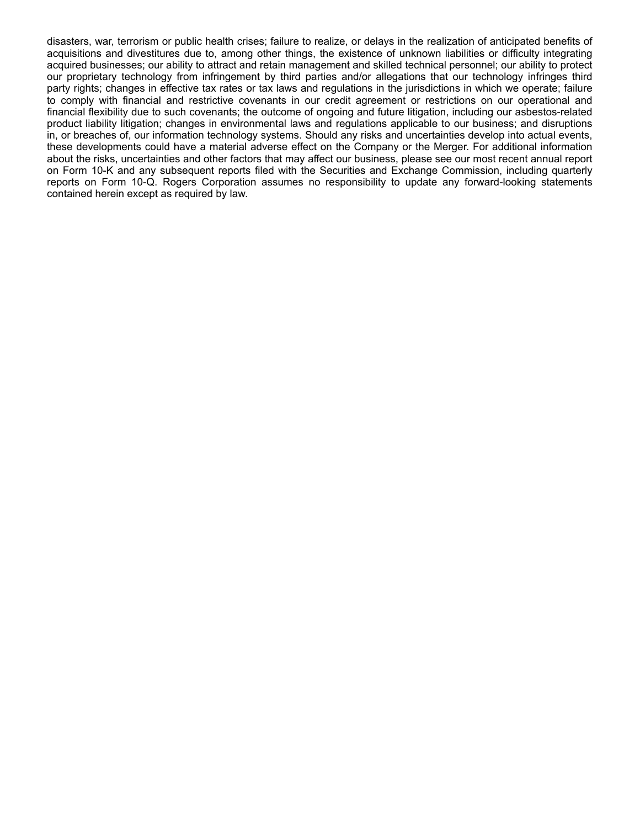disasters, war, terrorism or public health crises; failure to realize, or delays in the realization of anticipated benefits of acquisitions and divestitures due to, among other things, the existence of unknown liabilities or difficulty integrating acquired businesses; our ability to attract and retain management and skilled technical personnel; our ability to protect our proprietary technology from infringement by third parties and/or allegations that our technology infringes third party rights; changes in effective tax rates or tax laws and regulations in the jurisdictions in which we operate; failure to comply with financial and restrictive covenants in our credit agreement or restrictions on our operational and financial flexibility due to such covenants; the outcome of ongoing and future litigation, including our asbestos-related product liability litigation; changes in environmental laws and regulations applicable to our business; and disruptions in, or breaches of, our information technology systems. Should any risks and uncertainties develop into actual events, these developments could have a material adverse effect on the Company or the Merger. For additional information about the risks, uncertainties and other factors that may affect our business, please see our most recent annual report on Form 10-K and any subsequent reports filed with the Securities and Exchange Commission, including quarterly reports on Form 10-Q. Rogers Corporation assumes no responsibility to update any forward-looking statements contained herein except as required by law.